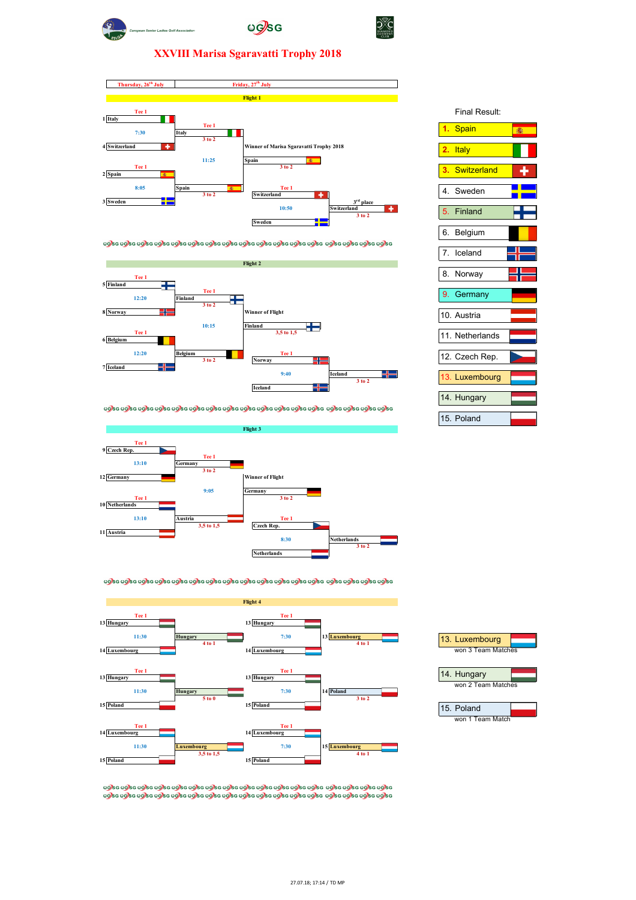

 $Q\rightarrow Q$ sg



#### **XXVIII Marisa Sgaravatti Trophy 2018**



୦ଥିରୁ ୦ ଥିରୁ ୦ ଥିରୁ ୦ ଥିରୁ ୦ ଥିରୁ ୦ ଥିରୁ ୦ ଥିରୁ ୦ ଥିରୁ ୦ ଥିରୁ ୦ ଥିରୁ ୦ ଥିରୁ ୦ ଥିରୁ ୦ ଥିରୁ ୦ ଥିରୁ ୦ ଥିରୁ ୦ ଥିରୁ ୦ ଥିରୁ ୦



**1.** Spain  $\overline{100}$ **2.** Italy **3.** Switzerland 4. Sweden **Finland** 6. Belgium 7. Iceland 8. Norway 9. Germany 10. Austria 11. Netherlands 12. Czech Rep. 13. Luxembourg14. Hungary 15. Poland

০৪/২০ ০৪/২০ ০৪/২০ ০৪/২০ ০৪/২০ ০৪/২০ ০৪/২০ ০৪/২০ ০৪/২০ ০৪/২০ ০৪/২০ ০৪/২০ ০৪/২০ ০৪/২০ ০৪/২০ ০৪/২০ ০৪/২০





୦ର୍ଥିତ ୦ ଥିବିତ ୦ ଥିବିତ ୦ ଥିବିତ ୦ ଥିବିତ ୦ ଥିବିତ ୦ ଥିବିତ ୦ ଅଦିତ ୦ ଅଦିତ ୦ ଅଦିତ ୦ ଅଦିତ ୦ ଅଦିତ ୦ ଅଦିତ ୦ ଅଦିତ ୦ ଅଦିତ ୦ xQu ୦ xQu ୦ xQu ୦ xQu ୦ xQu ୦ xQu ୦ xQu ୦ xQu ୦ xQu ୦ xQu ୦ xQu ୦ xQu ୦ xQu ୦ xQu ୦ xQu ୦ xQu ୦ xQu

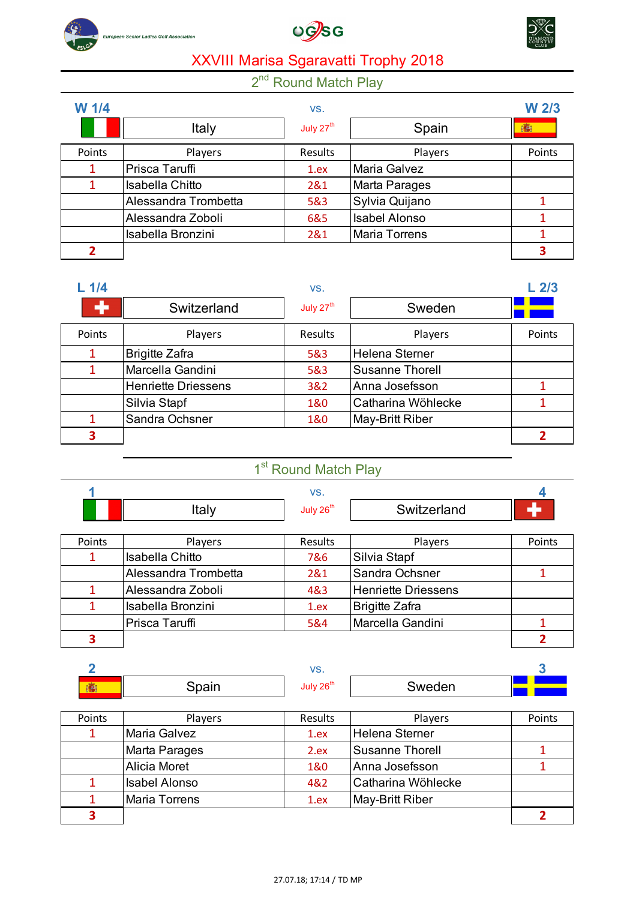





#### 2<sup>nd</sup> Round Match Play

| W 1/4  |                      | VS.                   |                      | <b>W 2/3</b> |
|--------|----------------------|-----------------------|----------------------|--------------|
|        | Italy                | July 27 <sup>th</sup> | Spain                | <b>痛</b>     |
| Points | Players              | Results               | Players              | Points       |
|        | Prisca Taruffi       | 1.ex                  | <b>Maria Galvez</b>  |              |
|        | Isabella Chitto      | 2&1                   | Marta Parages        |              |
|        | Alessandra Trombetta | 5&3                   | Sylvia Quijano       |              |
|        | Alessandra Zoboli    | 6&5                   | <b>Isabel Alonso</b> |              |
|        | Isabella Bronzini    | 2&1                   | <b>Maria Torrens</b> |              |
| 2      |                      |                       |                      | 3            |

| $L$ 1/4 |                            | VS.                   |                        | L2/3   |
|---------|----------------------------|-----------------------|------------------------|--------|
| D       | Switzerland                | July 27 <sup>th</sup> | Sweden                 |        |
| Points  | Players                    | Results               | Players                | Points |
| 1       | <b>Brigitte Zafra</b>      | 5&3                   | <b>Helena Sterner</b>  |        |
|         | Marcella Gandini           | 5&3                   | <b>Susanne Thorell</b> |        |
|         | <b>Henriette Driessens</b> | 3&2                   | Anna Josefsson         |        |
|         | Silvia Stapf               | 1&0                   | Catharina Wöhlecke     |        |
|         | Sandra Ochsner             | 1&0                   | May-Britt Riber        |        |
| 3       |                            |                       |                        |        |

|        |                        | VS.                   |                            |        |
|--------|------------------------|-----------------------|----------------------------|--------|
|        | Italy                  | July 26 <sup>th</sup> | Switzerland                |        |
|        |                        |                       |                            |        |
| Points | Players                | Results               | Players                    | Points |
|        | <b>Isabella Chitto</b> | 7&6                   | Silvia Stapf               |        |
|        | Alessandra Trombetta   | 2&1                   | Sandra Ochsner             |        |
|        | Alessandra Zoboli      | 4&3                   | <b>Henriette Driessens</b> |        |
|        | Isabella Bronzini      | 1.ex                  | <b>Brigitte Zafra</b>      |        |
|        | Prisca Taruffi         | 5&4                   | Marcella Gandini           |        |
| 3      |                        |                       |                            |        |

|                 | v J.                            |        |  |
|-----------------|---------------------------------|--------|--|
| :nain<br>י טווי | uly 26 <sup>th</sup><br>July ∠o | Sweden |  |

| Points | Players              | Results | Players                | Points |
|--------|----------------------|---------|------------------------|--------|
|        | <b>Maria Galvez</b>  | 1.ex    | Helena Sterner         |        |
|        | Marta Parages        | 2.ex    | <b>Susanne Thorell</b> |        |
|        | Alicia Moret         | 1&0     | Anna Josefsson         |        |
|        | <b>Isabel Alonso</b> | 4&2     | Catharina Wöhlecke     |        |
|        | <b>Maria Torrens</b> | 1.ex    | May-Britt Riber        |        |
| 3      |                      |         |                        |        |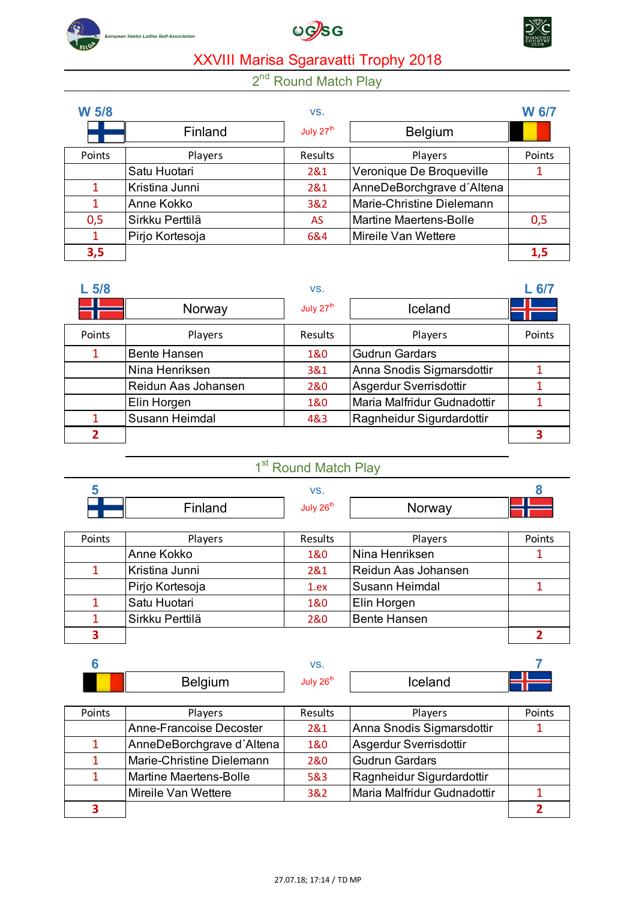





### 2<sup>nd</sup> Round Match Play

| <b>W 5/8</b> |                 | VS.                   |                               | <b>W 6/7</b> |
|--------------|-----------------|-----------------------|-------------------------------|--------------|
|              | Finland         | July 27 <sup>th</sup> | <b>Belgium</b>                |              |
| Points       | Players         | Results               | Players                       | Points       |
|              | Satu Huotari    | 2&1                   | Veronique De Broqueville      |              |
|              | Kristina Junni  | 2&1                   | AnneDeBorchgrave d'Altena     |              |
| 1            | Anne Kokko      | 3&2                   | Marie-Christine Dielemann     |              |
| 0,5          | Sirkku Perttilä | <b>AS</b>             | <b>Martine Maertens-Bolle</b> | 0,5          |
|              | Pirjo Kortesoja | 6&4                   | Mireile Van Wettere           |              |
| 3,5          |                 |                       |                               | 1,5          |

| L <sub>5/8</sub> |                     | VS.                   |                             | $L$ 6/7 |
|------------------|---------------------|-----------------------|-----------------------------|---------|
|                  | Norway              | July 27 <sup>th</sup> | Iceland                     |         |
| Points           | Players             | <b>Results</b>        | Players                     | Points  |
|                  | <b>Bente Hansen</b> | 1&0                   | <b>Gudrun Gardars</b>       |         |
|                  | Nina Henriksen      | 3&1                   | Anna Snodis Sigmarsdottir   |         |
|                  | Reidun Aas Johansen | 2&0                   | Asgerdur Sverrisdottir      |         |
|                  | Elin Horgen         | 1&0                   | Maria Malfridur Gudnadottir |         |
|                  | Susann Heimdal      | 4&3                   | Ragnheidur Sigurdardottir   |         |
| 2                |                     |                       |                             | 3       |

| 5      |                 | VS.                   |                     |        |
|--------|-----------------|-----------------------|---------------------|--------|
|        | Finland         | July 26 <sup>th</sup> | Norway              |        |
| Points | Players         | Results               | Players             | Points |
|        | Anne Kokko      | 1&0                   | Nina Henriksen      |        |
|        | Kristina Junni  | 2&1                   | Reidun Aas Johansen |        |
|        | Pirjo Kortesoja | 1.ex                  | Susann Heimdal      |        |
|        | Satu Huotari    | 1&0                   | Elin Horgen         |        |
|        | Sirkku Perttilä | 2&0                   | <b>Bente Hansen</b> |        |
| 3      |                 |                       |                     |        |

|                | $\ddotsc$  |         |  |
|----------------|------------|---------|--|
| <b>Belgium</b> | July $26m$ | lceland |  |

| Points | Players                   | Results | Players                     | Points |
|--------|---------------------------|---------|-----------------------------|--------|
|        | Anne-Francoise Decoster   | 2&1     | Anna Snodis Sigmarsdottir   |        |
|        | AnneDeBorchgrave d'Altena | 1&0     | Asgerdur Sverrisdottir      |        |
|        | Marie-Christine Dielemann | 2&0     | <b>Gudrun Gardars</b>       |        |
|        | Martine Maertens-Bolle    | 5&3     | Ragnheidur Sigurdardottir   |        |
|        | Mireile Van Wettere       | 3&2     | Maria Malfridur Gudnadottir |        |
|        |                           |         |                             |        |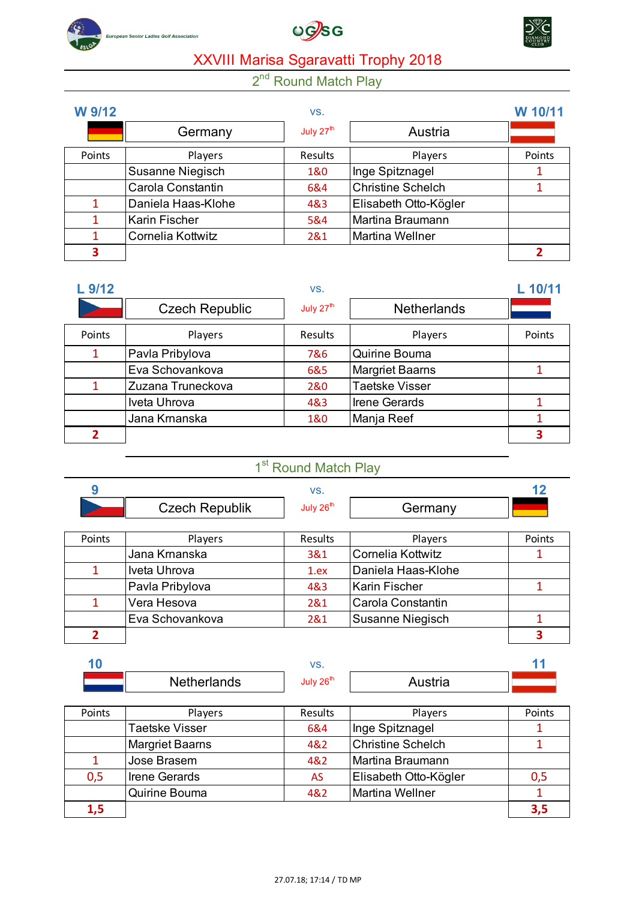





## 2<sup>nd</sup> Round Match Play

| W 9/12 |                    | VS.                   |                          | W 10/11 |
|--------|--------------------|-----------------------|--------------------------|---------|
|        | Germany            | July 27 <sup>th</sup> | Austria                  |         |
| Points | Players            | Results               | Players                  | Points  |
|        | Susanne Niegisch   | 1&0                   | Inge Spitznagel          |         |
|        | Carola Constantin  | 6&4                   | <b>Christine Schelch</b> |         |
|        | Daniela Haas-Klohe | 4&3                   | Elisabeth Otto-Kögler    |         |
|        | Karin Fischer      | 5&4                   | Martina Braumann         |         |
|        | Cornelia Kottwitz  | 2&1                   | Martina Wellner          |         |
| 3      |                    |                       |                          |         |

| .9/12        |                       | VS.                   |                        | L 10/11 |
|--------------|-----------------------|-----------------------|------------------------|---------|
|              | <b>Czech Republic</b> | July 27 <sup>th</sup> | <b>Netherlands</b>     |         |
| Points       | Players               | <b>Results</b>        | Players                | Points  |
| 1            | Pavla Pribylova       | 7&6                   | Quirine Bouma          |         |
|              | Eva Schovankova       | 6&5                   | <b>Margriet Baarns</b> |         |
|              | Zuzana Truneckova     | 2&0                   | <b>Taetske Visser</b>  |         |
|              | Iveta Uhrova          | 4&3                   | <b>Irene Gerards</b>   |         |
|              | Jana Krnanska         | 1&0                   | Manja Reef             |         |
| $\mathbf{2}$ |                       |                       |                        | 3       |

| 9      |                       | VS.                   |                      | 12     |
|--------|-----------------------|-----------------------|----------------------|--------|
|        | <b>Czech Republik</b> | July 26 <sup>th</sup> | Germany              |        |
|        |                       |                       |                      |        |
| Points | Players               | Results               | Players              | Points |
|        | Jana Krnanska         | 3&1                   | Cornelia Kottwitz    |        |
|        | Iveta Uhrova          | 1.ex                  | Daniela Haas-Klohe   |        |
|        | Pavla Pribylova       | 4&3                   | <b>Karin Fischer</b> |        |
|        | Vera Hesova           | 2&1                   | Carola Constantin    |        |
|        | Eva Schovankova       | 2&1                   | Susanne Niegisch     |        |
| 2      |                       |                       |                      | 3      |

|                    | . ت        |                |  |
|--------------------|------------|----------------|--|
| <b>Netherlands</b> | July $26m$ | $-1$<br>ustria |  |

| Points | Players                | Results | Players                  | Points |
|--------|------------------------|---------|--------------------------|--------|
|        | Taetske Visser         | 6&4     | Inge Spitznagel          |        |
|        | <b>Margriet Baarns</b> | 4&2     | <b>Christine Schelch</b> |        |
|        | Jose Brasem            | 4&2     | Martina Braumann         |        |
| 0,5    | <b>Irene Gerards</b>   | AS      | Elisabeth Otto-Kögler    | 0,5    |
|        | Quirine Bouma          | 4&2     | Martina Wellner          |        |
| 1,5    |                        |         |                          | 3,5    |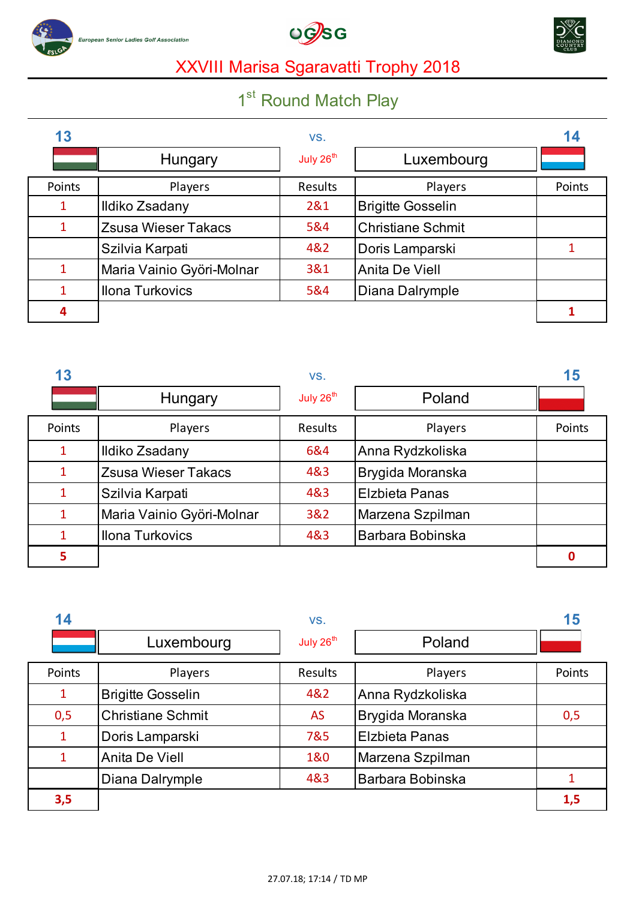





| 13     |                            | VS.                   |                          | 14     |
|--------|----------------------------|-----------------------|--------------------------|--------|
|        | Hungary                    | July 26 <sup>th</sup> | Luxembourg               |        |
| Points | Players                    | Results               | Players                  | Points |
| 1      | Ildiko Zsadany             | 2&1                   | <b>Brigitte Gosselin</b> |        |
| 1      | <b>Zsusa Wieser Takacs</b> | 5&4                   | <b>Christiane Schmit</b> |        |
|        | Szilvia Karpati            | 4&2                   | Doris Lamparski          |        |
| 1      | Maria Vainio Györi-Molnar  | 3&1                   | Anita De Viell           |        |
|        | <b>Ilona Turkovics</b>     | 5&4                   | Diana Dalrymple          |        |
| 4      |                            |                       |                          |        |

| 13     |                            | VS.                   |                       | 15     |
|--------|----------------------------|-----------------------|-----------------------|--------|
|        | Hungary                    | July 26 <sup>th</sup> | Poland                |        |
| Points | Players                    | Results               | Players               | Points |
| 1      | Ildiko Zsadany             | 6&4                   | Anna Rydzkoliska      |        |
| 1      | <b>Zsusa Wieser Takacs</b> | 4&3                   | Brygida Moranska      |        |
| 1      | Szilvia Karpati            | 4&3                   | <b>Elzbieta Panas</b> |        |
| 1      | Maria Vainio Györi-Molnar  | 3&2                   | Marzena Szpilman      |        |
|        | <b>Ilona Turkovics</b>     | 4&3                   | Barbara Bobinska      |        |
| 5      |                            |                       |                       | 0      |

| 14     |                          | VS.                   |                       | 15     |
|--------|--------------------------|-----------------------|-----------------------|--------|
|        | Luxembourg               | July 26 <sup>th</sup> | Poland                |        |
| Points | Players                  | Results               | Players               | Points |
| 1      | <b>Brigitte Gosselin</b> | 4&2                   | Anna Rydzkoliska      |        |
| 0,5    | <b>Christiane Schmit</b> | <b>AS</b>             | Brygida Moranska      | 0,5    |
| 1      | Doris Lamparski          | 7&5                   | <b>Elzbieta Panas</b> |        |
|        | Anita De Viell           | 1&0                   | Marzena Szpilman      |        |
|        | Diana Dalrymple          | 4&3                   | Barbara Bobinska      |        |
| 3,5    |                          |                       |                       | 1,5    |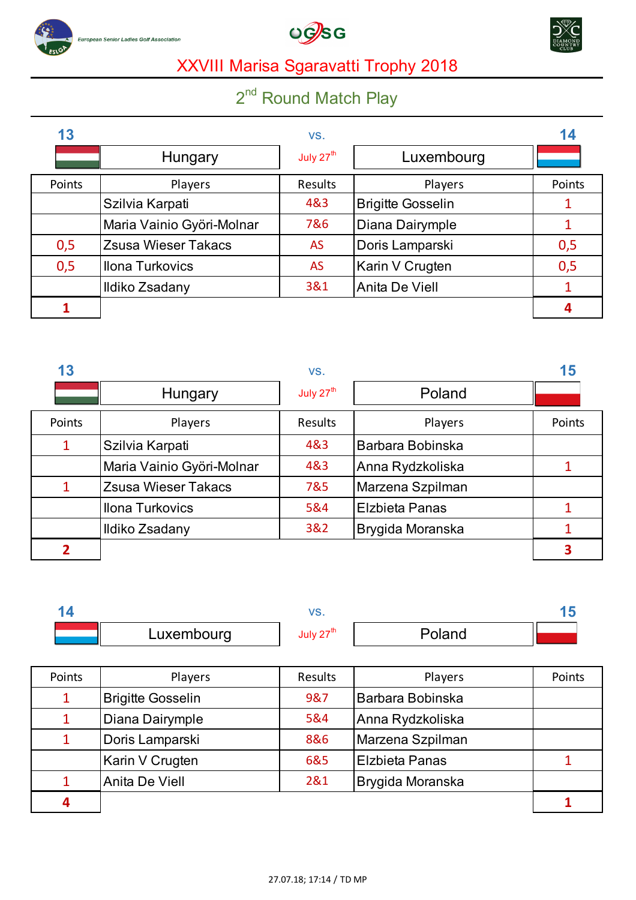





| 13     |                            | VS.                   |                          | 14     |
|--------|----------------------------|-----------------------|--------------------------|--------|
|        | Hungary                    | July 27 <sup>th</sup> | Luxembourg               |        |
| Points | Players                    | Results               | Players                  | Points |
|        | Szilvia Karpati            | 4&3                   | <b>Brigitte Gosselin</b> |        |
|        | Maria Vainio Györi-Molnar  | 7&6                   | Diana Dairymple          |        |
| 0,5    | <b>Zsusa Wieser Takacs</b> | <b>AS</b>             | Doris Lamparski          | 0,5    |
| 0,5    | Ilona Turkovics            | <b>AS</b>             | Karin V Crugten          | 0,5    |
|        | Ildiko Zsadany             | 3&1                   | Anita De Viell           |        |
|        |                            |                       |                          |        |

| 13     |                            | VS.                   |                       | 15     |
|--------|----------------------------|-----------------------|-----------------------|--------|
|        | Hungary                    | July 27 <sup>th</sup> | Poland                |        |
| Points | Players                    | Results               | Players               | Points |
|        | Szilvia Karpati            | 4&3                   | Barbara Bobinska      |        |
|        | Maria Vainio Györi-Molnar  | 4&3                   | Anna Rydzkoliska      |        |
|        | <b>Zsusa Wieser Takacs</b> | 7&5                   | Marzena Szpilman      |        |
|        | <b>Ilona Turkovics</b>     | 5&4                   | <b>Elzbieta Panas</b> |        |
|        | Ildiko Zsadany             | 3&2                   | Brygida Moranska      |        |
|        |                            |                       |                       | 3      |

| 14     |                          | VS.                   |                       | 15     |
|--------|--------------------------|-----------------------|-----------------------|--------|
|        | Luxembourg               | July 27 <sup>th</sup> | Poland                |        |
|        |                          |                       |                       |        |
| Points | Players                  | Results               | Players               | Points |
|        | <b>Brigitte Gosselin</b> | 9&7                   | Barbara Bobinska      |        |
|        | Diana Dairymple          | 5&4                   | Anna Rydzkoliska      |        |
|        | Doris Lamparski          | 8&6                   | Marzena Szpilman      |        |
|        | Karin V Crugten          | 6&5                   | <b>Elzbieta Panas</b> |        |
|        | Anita De Viell           | 2&1                   | Brygida Moranska      |        |
|        |                          |                       |                       |        |